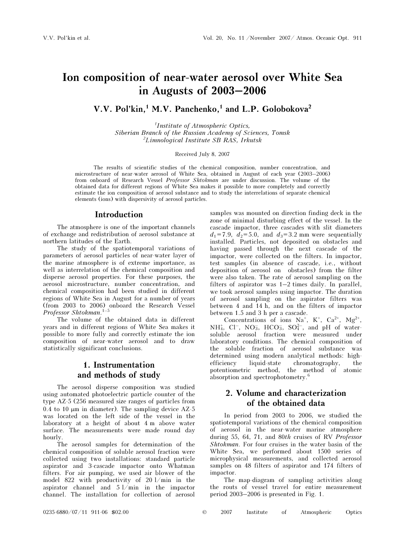# Ion composition of near-water aerosol over White Sea<br>in Augusts of 2003–2006  $\frac{1}{2}$

V.V. Pol'kin.<sup>1</sup> M.V. Panchenko,<sup>1</sup> and L.P. Golobokova<sup>2</sup>

1 Institute of Atmospheric Optics, Siberian Branch of the Russian Academy of Sciences, Tomsk <sup>2</sup>Limnological Institute SB RAS, Irkutsk

Received July 8, 2007

The results of scientific studies of the chemical composition, number concentration, and microstructure of near-water aerosol of White Sea, obtained in August of each year (2003–2006) from onboard of Research Vessel Professor Shtokman are under discussion. The volume of the obtained data for different regions of White Sea makes it possible to more completely and correctly estimate the ion composition of aerosol substance and to study the interrelations of separate chemical elements (ions) with dispersivity of aerosol particles.

#### Introduction

The atmosphere is one of the important channels of exchange and redistribution of aerosol substance at northern latitudes of the Earth.

The study of the spatiotemporal variations of parameters of aerosol particles of near-water layer of the marine atmosphere is of extreme importance, as well as interrelation of the chemical composition and disperse aerosol properties. For these purposes, the aerosol microstructure, number concentration, and chemical composition had been studied in different regions of White Sea in August for a number of years (from 2003 to 2006) onboard the Research Vessel Professor Shtokman. 1–5

The volume of the obtained data in different years and in different regions of White Sea makes it possible to more fully and correctly estimate the ion composition of near-water aerosol and to draw statistically significant conclusions.

## 1. Instrumentation and methods of study

The aerosol disperse composition was studied using automated photoelectric particle counter of the type ÀZ-5 (256 measured size ranges of particles from  $0.4$  to 10  $\mu$ m in diameter). The sampling device AZ-5 was located on the left side of the vessel in the laboratory at a height of about 4 m above water surface. The measurements were made round day hourly.

The aerosol samples for determination of the chemical composition of soluble aerosol fraction were collected using two installations: standard particle aspirator and 3-cascade impactor onto Whatman filters. For air pumping, we used air blower of the model 822 with productivity of 20 l/min in the aspirator channel and 5 l/min in the impactor channel. The installation for collection of aerosol

samples was mounted on direction finding deck in the zone of minimal disturbing effect of the vessel. In the cascade impactor, three cascades with slit diameters  $d_1 = 7.9$ ,  $d_2 = 5.0$ , and  $d_3 = 3.2$  mm were sequentially installed. Particles, not deposited on obstacles and having passed through the next cascade of the impactor, were collected on the filters. In impactor, test samples (in absence of cascade, i.e., without deposition of aerosol on obstacles) from the filter were also taken. The rate of aerosol sampling on the filters of aspirator was 1–2 times daily. In parallel, we took aerosol samples using impactor. The duration of aerosol sampling on the aspirator filters was between 4 and 14 h, and on the filters of impactor between 1.5 and 3 h per a cascade.

Concentrations of ions  $Na^+$ ,  $K^+$ ,  $Ca^{2+}$ ,  $Mg^{2+}$ , NH<sup>+</sup><sub>4</sub>, Cl<sup>-</sup>, NO<sub>3</sub>, HCO<sub>3</sub>, SO<sub>4</sub><sup>2</sup><sup>-</sup>, and pH of watersoluble aerosol fraction were measured under laboratory conditions. The chemical composition of the soluble fraction of aerosol substance was determined using modern analytical methods: highefficiency liquid-state chromatography, the potentiometric method, the method of atomic absorption and spectrophotometry.<sup>6</sup>

## 2. Volume and characterization of the obtained data

In period from 2003 to 2006, we studied the spatiotemporal variations of the chemical composition of aerosol in the near-water marine atmosphere during 55, 64, 71, and 80th cruises of RV Professor Shtokman. For four cruises in the water basin of the White Sea, we performed about 1500 series of microphysical measurements, and collected aerosol samples on 48 filters of aspirator and 174 filters of impactor.

The map-diagram of sampling activities along the routs of vessel travel for entire measurement period 2003–2006 is presented in Fig. 1.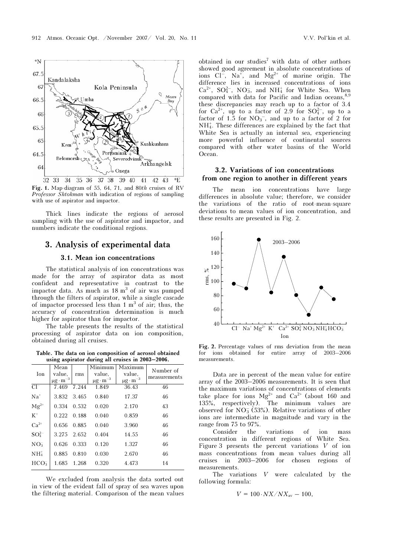

Fig. 1. Map-diagram of 55, 64, 71, and 80th cruises of RV Professor Shtokman with indication of regions of sampling with use of aspirator and impactor.

Thick lines indicate the regions of aerosol sampling with the use of aspirator and impactor, and numbers indicate the conditional regions.

# 3. Analysis of experimental data

#### 3.1. Mean ion concentrations

The statistical analysis of ion concentrations was made for the array of aspirator data as most confident and representative in contrast to the impactor data. As much as  $18 \text{ m}^3$  of air was pumped through the filters of aspirator, while a single cascade of impactor processed less than  $1 \text{ m}^3$  of air; thus, the accuracy of concentration determination is much higher for aspirator than for impactor.

The table presents the results of the statistical processing of aspirator data on ion composition, obtained during all cruises.

Table. The data on ion composition of aerosol obtained using aspirator during all cruises in 2003–2006.

| Ion              | Mean<br>value,<br>$\mu$ g · m <sup>-3</sup> | rms   | Minimum<br>value,<br>$\mu$ g · m <sup>-3</sup> | Maximum<br>value,<br>$\mu g \cdot m^{-3}$ | Number of<br>measurements |
|------------------|---------------------------------------------|-------|------------------------------------------------|-------------------------------------------|---------------------------|
| $Cl^-$           | 7.469                                       | 7.244 | 1.849                                          | 36.43                                     | 46                        |
| $Na+$            | 3.832 3.465                                 |       | 0.840                                          | 17.37                                     | 46                        |
| $Mg^{2+}$        | 0.334                                       | 0.532 | 0.020                                          | 2.170                                     | 43                        |
| $\mathrm{K}^+$   | $0.222 \quad 0.188$                         |       | 0.040                                          | 0.859                                     | 46                        |
| $Ca^{2+}$        | 0.656                                       | 0.885 | 0.040                                          | 3.960                                     | 46                        |
| $SO_4^{2-}$      | 3.275                                       | 2.652 | 0.404                                          | 14.55                                     | 46                        |
| NO <sub>3</sub>  | 0.626                                       | 0.333 | 0.120                                          | 1.327                                     | 46                        |
| $NH4+$           | 0.885                                       | 0.810 | 0.030                                          | 2.670                                     | 46                        |
| HCO <sub>3</sub> | 1.685                                       | 1.268 | 0.320                                          | 4.473                                     | 14                        |

We excluded from analysis the data sorted out in view of the evident fall of spray of sea waves upon the filtering material. Comparison of the mean values

obtained in our studies<sup>7</sup> with data of other authors showed good agreement in absolute concentrations of ions  $Cl^-$ , Na<sup>+</sup>, and Mg<sup>2+</sup> of marine origin. The difference lies in increased concentrations of ions  $Ca^{2+}$ ,  $SO_4^{2-}$ ,  $NO_3^-$ , and  $NH_4^+$  for White Sea. When compared with data for Pacific and Indian oceans,  $8,9$ these discrepancies may reach up to a factor of 3.4 for  $Ca^{2+}$ , up to a factor of 2.9 for  $SO_4^{2-}$ , up to a factor of 1.5 for  $NO<sub>3</sub><sup>-</sup>$ , and up to a factor of 2 for  $NH_4^+$ . These differences are explained by the fact that White Sea is actually an internal sea, experiencing more powerful influence of continental sources compared with other water basins of the World Ocean.

### 3.2. Variations of ion concentrations from one region to another in different years

The mean ion concentrations have large differences in absolute value; therefore, we consider the variations of the ratio of root-mean-square deviations to mean values of ion concentration, and these results are presented in Fig. 2.



Fig. 2. Percentage values of rms deviation from the mean for ions obtained for entire array of 2003–2006 measurements.

Data are in percent of the mean value for entire array of the 2003–2006 measurements. It is seen that the maximum variations of concentrations of elements take place for ions  $Mg^{2+}$  and  $Ca^{2+}$  (about 160 and 135%, respectively). The minimum values are observed for  $NO_3^-(53%)$ . Relative variations of other ions are intermediate in magnitude and vary in the range from 75 to 97%.

Consider the variations of ion mass concentration in different regions of White Sea. Figure 3 presents the percent variations  $V$  of ion mass concentrations from mean values during all cruises in 2003–2006 for chosen regions of measurements.

The variations V were calculated by the following formula:

$$
V = 100 \cdot N X / N X_{\text{av}} - 100,
$$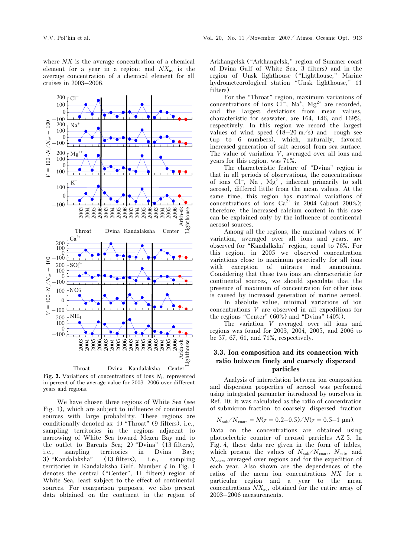

Fig. 3. Variations of concentrations of ions  $N_i$ , represented in percent of the average value for 2003–2006 over different years and regions.

We have chosen three regions of White Sea (see Fig. 1), which are subject to influence of continental sources with large probability. These regions are conditionally denoted as: 1) "Throat" (9 filters), i.e., sampling territories in the regions adjacent to narrowing of White Sea toward Mezen Bay and to the outlet to Barents Sea; 2) "Dvina" (13 filters), i.e., sampling territories in Dvina Bay; 3) "Kandalaksha" (13 filters), i.e., sampling territories in Kandalaksha Gulf. Number 4 in Fig. 1 denotes the central ("Center", 11 filters) region of White Sea, least subject to the effect of continental sources. For comparison purposes, we also present data obtained on the continent in the region of Arkhangelsk ("Arkhangelsk," region of Summer coast of Dvina Gulf of White Sea, 3 filters) and in the region of Unsk lighthouse ("Lighthouse," Marine hydrometeorological station "Unsk lighthouse," 11 filters).

For the "Throat" region, maximum variations of concentrations of ions  $CI^-$ ,  $Na^+$ ,  $Mg^{2+}$  are recorded, and the largest deviations from mean values, characteristic for seawater, are 164, 146, and 169%, respectively. In this region we record the largest values of wind speed  $(18-20 \text{ m/s})$  and rough see (up to 6 numbers), which, naturally, favored increased generation of salt aerosol from sea surface. The value of variation V, averaged over all ions and years for this region, was 71%.

The characteristic feature of "Dvina" region is that in all periods of observations, the concentrations of ions  $Cl^{-}$ , Na<sup>+</sup>, Mg<sup>2+</sup>, inherent primarily to salt aerosol, differed little from the mean values. At the same time, this region has maximal variations of concentrations of ions  $Ca^{2+}$  in 2004 (about 200%); therefore, the increased calcium content in this case can be explained only by the influence of continental aerosol sources.

Among all the regions, the maximal values of V variation, averaged over all ions and years, are observed for "Kandalksha" region, equal to 76%. For this region, in 2005 we observed concentration variations close to maximum practically for all ions with exception of nitrates and ammonium. Considering that these two ions are characteristic for continental sources, we should speculate that the presence of maximum of concentration for other ions is caused by increased generation of marine aerosol.

 In absolute value, minimal variations of ion concentrations V are observed in all expeditions for the regions "Center"  $(60\%)$  and "Dvina"  $(40\%)$ .

The variation V averaged over all ions and regions was found for 2003, 2004, 2005, and 2006 to be 57, 67, 61, and 71%, respectively.

#### 3.3. Ion composition and its connection with ratio between finely and coarsely dispersed particles

Analysis of interrelation between ion composition and dispersion properties of aerosol was performed using integrated parameter introduced by ourselves in Ref. 10; it was calculated as the ratio of concentration of submicron fraction to coarsely dispersed fraction

$$
N_{\rm sub}/N_{\rm coars} = N(r = 0.2 - 0.5)/N(r = 0.5 - 1 \text{ }\mu\text{m}).
$$

Data on the concentrations are obtained using photoelectric counter of aerosol particles ÀZ-5. In Fig. 4, these data are given in the form of tables, which present the values of  $N_{sub}/N_{cous}$ ,  $N_{sub}$ , and  $N_{\text{coars}}$  averaged over regions and for the expedition of each year. Also shown are the dependences of the ratios of the mean ion concentrations NX for a particular region and a year to the mean concentrations  $NX_{\text{av}}$ , obtained for the entire array of 2003–2006 measurements.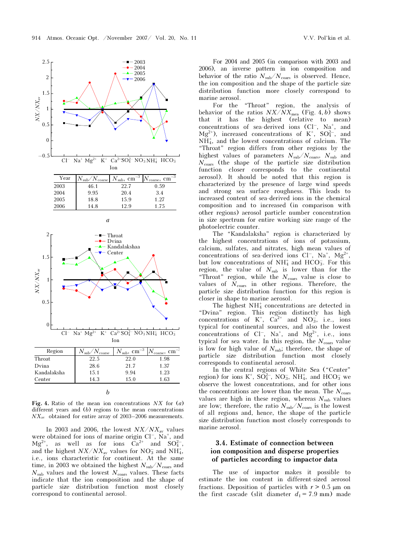



| 0<br>$Cl^-$ Na <sup>+</sup> Mg <sup>2+</sup> K <sup>+</sup> Ca <sup>2+</sup> SO <sub>4</sub> <sup>2</sup> -NO <sub>3</sub> NH <sub>4</sub> <sup>+</sup> HCO <sub>3</sub><br>Ion |                              |                                 |                               |  |  |  |
|---------------------------------------------------------------------------------------------------------------------------------------------------------------------------------|------------------------------|---------------------------------|-------------------------------|--|--|--|
| Region                                                                                                                                                                          | $N_{\rm sub}/N_{\rm coarse}$ | $N_{\rm sub}$ , ${\rm cm}^{-3}$ | $N_{\rm coarse},$<br>$cm^{-}$ |  |  |  |
| Throat                                                                                                                                                                          | 22.5                         | 22.0                            | 1.98                          |  |  |  |
| Dvina                                                                                                                                                                           | 28.6                         | 21.7                            | 1.37                          |  |  |  |
| Kandalaksha                                                                                                                                                                     | 15.1                         | 9.94                            | 1.23                          |  |  |  |
| Center                                                                                                                                                                          | 14.3                         | 15.0                            | 1.63                          |  |  |  |
|                                                                                                                                                                                 |                              |                                 |                               |  |  |  |

Fig. 4. Ratio of the mean ion concentrations  $NX$  for  $(a)$ different years and (b) regions to the mean concentrations  $NX_{\text{av}}$  obtained for entire array of 2003–2006 measurements.

In 2003 and 2006, the lowest  $NX/NX_{\text{av}}$  values were obtained for ions of marine origin  $Cl^-$ ,  $Na^+$ , and  $Mg^{2+}$ , as well as for ions  $\bar{Ca}^{2+}$  and  $SO_4^{2-}$ , and the highest  $NX/NX_{\text{av}}$  values for  $NO_3^-$  and  $NH_4^+$ , i.e., ions characteristic for continent. At the same time, in 2003 we obtained the highest  $N_{\rm sub}/N_{\rm coars}$  and  $N<sub>sub</sub>$  values and the lowest  $N<sub>coars</sub>$  values. These facts indicate that the ion composition and the shape of particle size distribution function most closely correspond to continental aerosol.

For 2004 and 2005 (in comparison with 2003 and 2006), an inverse pattern in ion composition and behavior of the ratio  $N_{sub}/N_{coars}$  is observed. Hence, the ion composition and the shape of the particle size distribution function more closely correspond to marine aerosol.

For the "Throat" region, the analysis of behavior of the ratios  $NX/NX_{\text{mea}}$  (Fig. 4, b) shows that it has the highest (relative to mean) concentrations of sea-derived ions  $(Cl^-, Na^+, and$  $Mg^{2+}$ ), increased concentrations of K<sup>+</sup>, SO<sub>4</sub><sup>2</sup>-, and NH<sup>4</sup> + , and the lowest concentrations of calcium. The "Throat" region differs from other regions by the highest values of parameters  $N_{sub}/N_{coars}$ ,  $N_{sub}$  and  $N_{\text{coars}}$  (the shape of the particle size distribution function closer corresponds to the continental aerosol). It should be noted that this region is characterized by the presence of large wind speeds and strong sea surface roughness. This leads to increased content of sea-derived ions in the chemical composition and to increased (in comparison with other regions) aerosol particle number concentration in size spectrum for entire working size range of the photoelectric counter.

The "Kandalaksha" region is characterized by the highest concentrations of ions of potassium, calcium, sulfates, and nitrates, high mean values of concentrations of sea-derived ions  $Cl^-$ ,  $Na^+$ ,  $Mg^{2+}$ , but low concentrations of  $NH_4^+$  and HCO<sub>3</sub>. For this region, the value of  $N_{\text{sub}}$  is lower than for the "Throat" region, while the  $N_{\text{coars}}$  value is close to values of  $N_{\text{coars}}$  in other regions. Therefore, the particle size distribution function for this region is closer in shape to marine aerosol.

The highest  $NH<sub>4</sub><sup>+</sup>$  concentrations are detected in "Dvina" region. This region distinctly has high concentrations of  $K^+$ ,  $Ca^{2+}$  and  $NO_3^-$ , i.e., ions typical for continental sources, and also the lowest concentrations of  $Cl^-$ ,  $Na^+$ , and  $Mg^{2+}$ , i.e., ions typical for sea water. In this region, the  $N_{\text{coars}}$  value is low for high value of  $N_{sub}$ ; therefore, the shape of particle size distribution function most closely corresponds to continental aerosol.

In the central regions of White Sea ("Center" region) for ions K<sup>+</sup>, SO<sub>4</sub><sup>2</sup>-, NO<sub>3</sub>, NH<sub>4</sub><sup>+</sup>, and HCO<sub>3</sub> we observe the lowest concentrations, and for other ions the concentrations are lower than the mean. The  $N_{\text{coars}}$ values are high in these region, whereas  $N<sub>sub</sub>$  values are low; therefore, the ratio  $N_{\text{sub}}/N_{\text{coars}}$  is the lowest of all regions and, hence, the shape of the particle size distribution function most closely corresponds to marine aerosol.

## 3.4. Estimate of connection between ion composition and disperse properties of particles according to impactor data

The use of impactor makes it possible to estimate the ion content in different-sized aerosol fractions. Deposition of particles with  $r > 0.5 \mu m$  on the first cascade (slit diameter  $d_1 = 7.9$  mm) made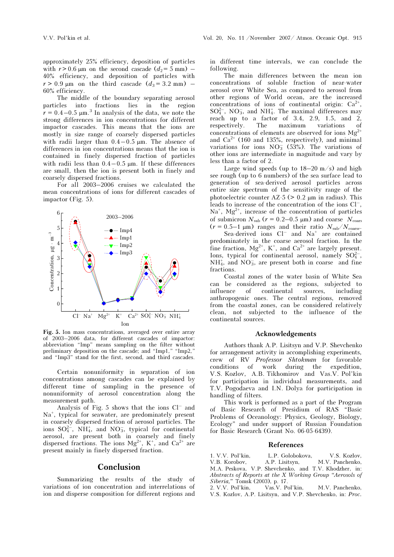approximately 25% efficiency, deposition of particles with  $r > 0.6$  µm on the second cascade  $(d_2 = 5$  mm) – 40% efficiency, and deposition of particles with  $r > 0.9$  μm on the third cascade  $(d_3 = 3.2$  mm) – 60% efficiency.

The middle of the boundary separating aerosol particles into fractions lies in the region  $r = 0.4 - 0.5 \mu m^{3}$  In analysis of the data, we note the strong differences in ion concentrations for different impactor cascades. This means that the ions are mostly in size range of coarsely dispersed particles with radii larger than  $0.4-0.5$   $\mu$ m. The absence of differences in ion concentrations means that the ion is contained in finely dispersed fraction of particles with radii less than  $0.4-0.5 \mu m$ . If these differences are small, then the ion is present both in finely and coarsely dispersed fractions.

For all 2003–2006 cruises we calculated the mean concentrations of ions for different cascades of impactor (Fig. 5).



Fig. 5. Ion mass concentrations, averaged over entire array of 2003–2006 data, for different cascades of impactor: abbreviation "Imp" means sampling on the filter without preliminary deposition on the cascade; and "Imp1," "Imp2," and "Imp3" stand for the first, second, and third cascades.

Certain nonuniformity in separation of ion concentrations among cascades can be explained by different time of sampling in the presence of nonuniformity of aerosol concentration along the measurement path.

Analysis of Fig. 5 shows that the ions  $Cl^-$  and Na<sup>+</sup>, typical for seawater, are predominately present in coarsely dispersed fraction of aerosol particles. The ions  $SO_4^{2-}$ , NH<sub>4</sub>, and NO<sub>3</sub>, typical for continental aerosol, are present both in coarsely and finely dispersed fractions. The ions  $Mg^{2+}$ , K<sup>+</sup>, and Ca<sup>2+</sup> are present mainly in finely dispersed fraction.

## Conclusion

Summarizing the results of the study of variations of ion concentration and interrelations of ion and disperse composition for different regions and

in different time intervals, we can conclude the following.

The main differences between the mean ion concentrations of soluble fraction of near-water aerosol over White Sea, as compared to aerosol from other regions of World ocean, are the increased concentrations of ions of continental origin:  $Ca^{2+}$ ,  $SO_4^{2-}$ , NO<sub>3</sub>, and NH<sub>4</sub>. The maximal differences may reach up to a factor of  $3.4$ ,  $2.9$ ,  $1.5$ , and  $2$ , respectively. The maximum variations of concentrations of elements are observed for ions  $Mg^{2+}$ and  $Ca^{2+}$  (160 and 135%, respectively), and minimal variations for ions  $NO_3^-$  (53%). The variations of other ions are intermediate in magnitude and vary by less than a factor of 2.

Large wind speeds (up to  $18-20$  m/s) and high see rough (up to 6 numbers) of the sea surface lead to generation of sea-derived aerosol particles across entire size spectrum of the sensitivity range of the photoelectric counter  $AZ-5$  ( $> 0.2 \mu m$  in radius). This leads to increase of the concentration of the ions Cl–,  $Na<sup>+</sup>$ ,  $Mg<sup>2+</sup>$ , increase of the concentration of particles of submicron  $N_{sub}$  ( $r = 0.2{\text -}0.5$  µm) and coarse  $N_{coars}$  $(r = 0.5-1 \text{ }\mu\text{m})$  ranges and their ratio  $N_{\text{sub}}/N_{\text{coarse}}$ . Sea-derived ions  $Cl^-$  and  $Na^+$  are contained predominately in the coarse aerosol fraction. In the fine fraction,  $Mg^{2+}$ , K<sup>+</sup>, and Ca<sup>2+</sup> are largely present. Ions, typical for continental aerosol, namely  $SO_4^{2-}$ ,  $NH<sub>4</sub>$ , and  $NO<sub>3</sub>$ , are present both in coarse and fine fractions.

Coastal zones of the water basin of White Sea can be considered as the regions, subjected to influence of continental sources, including anthropogenic ones. The central regions, removed from the coastal zones, can be considered relatively clean, not subjected to the influence of the continental sources.

#### Acknowledgements

Authors thank A.P. Lisitsyn and V.P. Shevchenko for arrangement activity in accomplishing experiments, crew of RV Professor Shtokman for favorable conditions of work during the expedition, V.S. Kozlov, A.B. Tikhomirov and Vas.V. Pol'kin for participation in individual measurements, and T.V. Pogodaeva and I.N. Dolya for participation in handling of filters.

This work is performed as a part of the Program of Basic Research of Presidium of RAS "Basic Problems of Oceanology: Physics, Geology, Biology, Ecology" and under support of Russian Foundation for Basic Research (Grant No. 06-05-6439).

#### References

1. V.V. Pol'kin, L.P. Golobokova, V.S. Kozlov, V.B. Korobov, A.P. Lisitsyn, M.V. Panchenko, V.B. Korobov, A.P. Lisitsyn, M.V. Panchenko, M.A. Peskova, V.P. Shevchenko, and T.V. Khodzher, in: Abstracts of Reports at the X Working Group "Aerosols of Siberia," Tomsk (2003), p. 17.<br>2. V.V. Pol'kin, Vas.V. Pol'kin,

M.V. Panchenko, V.S. Kozlov, A.P. Lisitsyn, and V.P. Shevchenko, in: Proc.